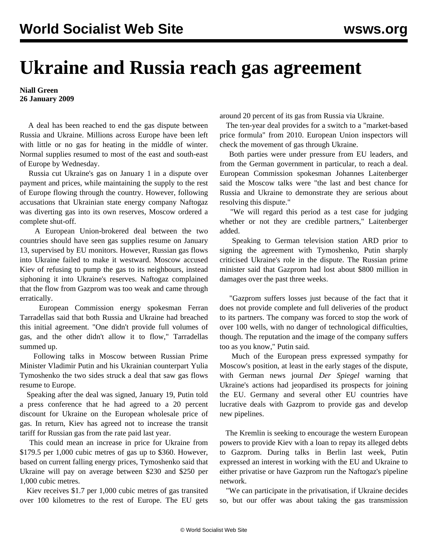## **Ukraine and Russia reach gas agreement**

## **Niall Green 26 January 2009**

 A deal has been reached to end the gas dispute between Russia and Ukraine. Millions across Europe have been left with little or no gas for heating in the middle of winter. Normal supplies resumed to most of the east and south-east of Europe by Wednesday.

 Russia cut Ukraine's gas on January 1 in a dispute over payment and prices, while maintaining the supply to the rest of Europe flowing through the country. However, following accusations that Ukrainian state energy company Naftogaz was diverting gas into its own reserves, Moscow ordered a complete shut-off.

 A European Union-brokered deal between the two countries should have seen gas supplies resume on January 13, supervised by EU monitors. However, Russian gas flows into Ukraine failed to make it westward. Moscow accused Kiev of refusing to pump the gas to its neighbours, instead siphoning it into Ukraine's reserves. Naftogaz complained that the flow from Gazprom was too weak and came through erratically.

 European Commission energy spokesman Ferran Tarradellas said that both Russia and Ukraine had breached this initial agreement. "One didn't provide full volumes of gas, and the other didn't allow it to flow," Tarradellas summed up.

 Following talks in Moscow between Russian Prime Minister Vladimir Putin and his Ukrainian counterpart Yulia Tymoshenko the two sides struck a deal that saw gas flows resume to Europe.

 Speaking after the deal was signed, January 19, Putin told a press conference that he had agreed to a 20 percent discount for Ukraine on the European wholesale price of gas. In return, Kiev has agreed not to increase the transit tariff for Russian gas from the rate paid last year.

 This could mean an increase in price for Ukraine from \$179.5 per 1,000 cubic metres of gas up to \$360. However, based on current falling energy prices, Tymoshenko said that Ukraine will pay on average between \$230 and \$250 per 1,000 cubic metres.

 Kiev receives \$1.7 per 1,000 cubic metres of gas transited over 100 kilometres to the rest of Europe. The EU gets around 20 percent of its gas from Russia via Ukraine.

 The ten-year deal provides for a switch to a "market-based price formula" from 2010. European Union inspectors will check the movement of gas through Ukraine.

 Both parties were under pressure from EU leaders, and from the German government in particular, to reach a deal. European Commission spokesman Johannes Laitenberger said the Moscow talks were "the last and best chance for Russia and Ukraine to demonstrate they are serious about resolving this dispute."

 "We will regard this period as a test case for judging whether or not they are credible partners," Laitenberger added.

 Speaking to German television station ARD prior to signing the agreement with Tymoshenko, Putin sharply criticised Ukraine's role in the dispute. The Russian prime minister said that Gazprom had lost about \$800 million in damages over the past three weeks.

 "Gazprom suffers losses just because of the fact that it does not provide complete and full deliveries of the product to its partners. The company was forced to stop the work of over 100 wells, with no danger of technological difficulties, though. The reputation and the image of the company suffers too as you know," Putin said.

 Much of the European press expressed sympathy for Moscow's position, at least in the early stages of the dispute, with German news journal *Der Spiegel* warning that Ukraine's actions had jeopardised its prospects for joining the EU. Germany and several other EU countries have lucrative deals with Gazprom to provide gas and develop new pipelines.

 The Kremlin is seeking to encourage the western European powers to provide Kiev with a loan to repay its alleged debts to Gazprom. During talks in Berlin last week, Putin expressed an interest in working with the EU and Ukraine to either privatise or have Gazprom run the Naftogaz's pipeline network.

 "We can participate in the privatisation, if Ukraine decides so, but our offer was about taking the gas transmission